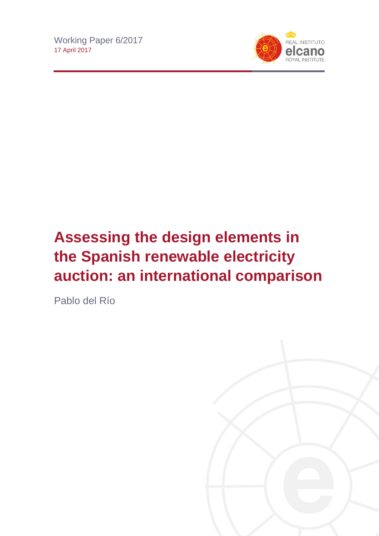

# **Assessing the design elements in the Spanish renewable electricity auction: an international comparison**

Pablo del Río

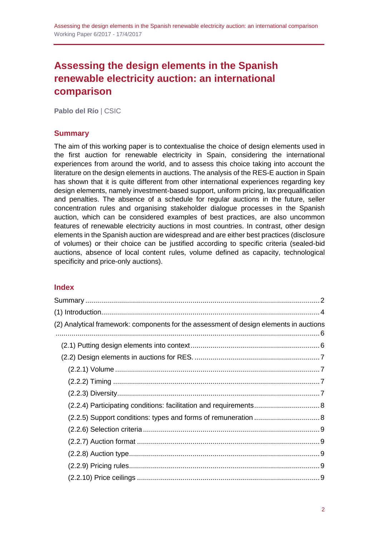## **Assessing the design elements in the Spanish renewable electricity auction: an international comparison**

**Pablo del Río** | CSIC

## <span id="page-1-0"></span>**Summary**

The aim of this working paper is to contextualise the choice of design elements used in the first auction for renewable electricity in Spain, considering the international experiences from around the world, and to assess this choice taking into account the literature on the design elements in auctions. The analysis of the RES-E auction in Spain has shown that it is quite different from other international experiences regarding key design elements, namely investment-based support, uniform pricing, lax prequalification and penalties. The absence of a schedule for regular auctions in the future, seller concentration rules and organising stakeholder dialogue processes in the Spanish auction, which can be considered examples of best practices, are also uncommon features of renewable electricity auctions in most countries. In contrast, other design elements in the Spanish auction are widespread and are either best practices (disclosure of volumes) or their choice can be justified according to specific criteria (sealed-bid auctions, absence of local content rules, volume defined as capacity, technological specificity and price-only auctions).

## **Index**

| (2) Analytical framework: components for the assessment of design elements in auctions |  |
|----------------------------------------------------------------------------------------|--|
|                                                                                        |  |
|                                                                                        |  |
|                                                                                        |  |
|                                                                                        |  |
|                                                                                        |  |
|                                                                                        |  |
|                                                                                        |  |
|                                                                                        |  |
|                                                                                        |  |
|                                                                                        |  |
|                                                                                        |  |
|                                                                                        |  |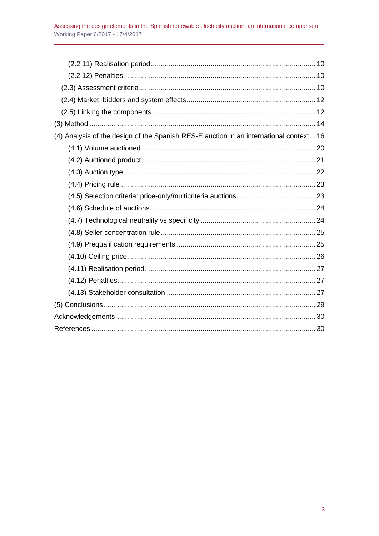| (4) Analysis of the design of the Spanish RES-E auction in an international context 16 |
|----------------------------------------------------------------------------------------|
|                                                                                        |
|                                                                                        |
|                                                                                        |
|                                                                                        |
|                                                                                        |
|                                                                                        |
|                                                                                        |
|                                                                                        |
|                                                                                        |
|                                                                                        |
|                                                                                        |
|                                                                                        |
|                                                                                        |
|                                                                                        |
|                                                                                        |
|                                                                                        |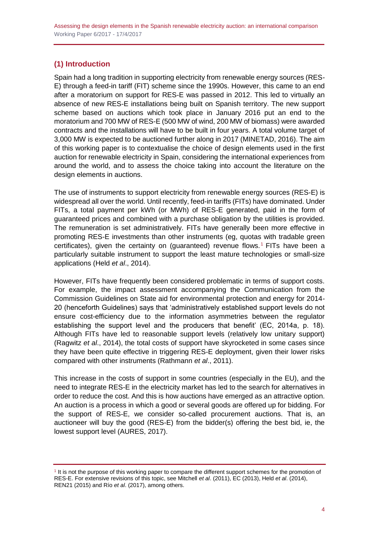## <span id="page-3-0"></span>**(1) Introduction**

Spain had a long tradition in supporting electricity from renewable energy sources (RES-E) through a feed-in tariff (FIT) scheme since the 1990s. However, this came to an end after a moratorium on support for RES-E was passed in 2012. This led to virtually an absence of new RES-E installations being built on Spanish territory. The new support scheme based on auctions which took place in January 2016 put an end to the moratorium and 700 MW of RES-E (500 MW of wind, 200 MW of biomass) were awarded contracts and the installations will have to be built in four years. A total volume target of 3,000 MW is expected to be auctioned further along in 2017 (MINETAD, 2016). The aim of this working paper is to contextualise the choice of design elements used in the first auction for renewable electricity in Spain, considering the international experiences from around the world, and to assess the choice taking into account the literature on the design elements in auctions.

The use of instruments to support electricity from renewable energy sources (RES-E) is widespread all over the world. Until recently, feed-in tariffs (FITs) have dominated. Under FITs, a total payment per kWh (or MWh) of RES-E generated, paid in the form of guaranteed prices and combined with a purchase obligation by the utilities is provided. The remuneration is set administratively. FITs have generally been more effective in promoting RES-E investments than other instruments (eg, quotas with tradable green certificates), given the certainty on (guaranteed) revenue flows.<sup>1</sup> FITs have been a particularly suitable instrument to support the least mature technologies or small-size applications (Held *et al*., 2014).

However, FITs have frequently been considered problematic in terms of support costs. For example, the impact assessment accompanying the Communication from the Commission Guidelines on State aid for environmental protection and energy for 2014- 20 (henceforth Guidelines) says that 'administratively established support levels do not ensure cost-efficiency due to the information asymmetries between the regulator establishing the support level and the producers that benefit' (EC, 2014a, p. 18). Although FITs have led to reasonable support levels (relatively low unitary support) (Ragwitz *et al*., 2014), the total costs of support have skyrocketed in some cases since they have been quite effective in triggering RES-E deployment, given their lower risks compared with other instruments (Rathmann *et al*., 2011).

This increase in the costs of support in some countries (especially in the EU), and the need to integrate RES-E in the electricity market has led to the search for alternatives in order to reduce the cost. And this is how auctions have emerged as an attractive option. An auction is a process in which a good or several goods are offered up for bidding. For the support of RES-E, we consider so-called procurement auctions. That is, an auctioneer will buy the good (RES-E) from the bidder(s) offering the best bid, ie, the lowest support level (AURES, 2017).

<sup>&</sup>lt;sup>1</sup> It is not the purpose of this working paper to compare the different support schemes for the promotion of RES-E. For extensive revisions of this topic, see Mitchell *et al*. (2011), EC (2013), Held *et al*. (2014), REN21 (2015) and Río *et al*. (2017), among others.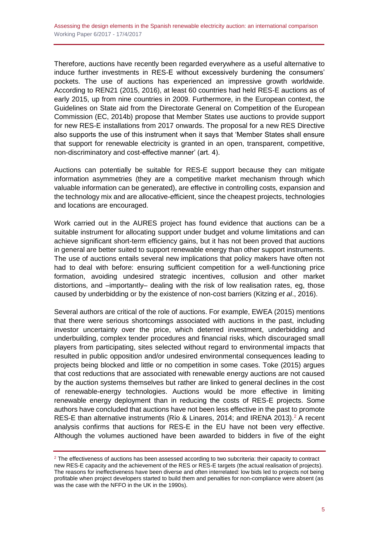Therefore, auctions have recently been regarded everywhere as a useful alternative to induce further investments in RES-E without excessively burdening the consumers' pockets. The use of auctions has experienced an impressive growth worldwide. According to REN21 (2015, 2016), at least 60 countries had held RES-E auctions as of early 2015, up from nine countries in 2009. Furthermore, in the European context, the Guidelines on State aid from the Directorate General on Competition of the European Commission (EC, 2014b) propose that Member States use auctions to provide support for new RES-E installations from 2017 onwards. The proposal for a new RES Directive also supports the use of this instrument when it says that 'Member States shall ensure that support for renewable electricity is granted in an open, transparent, competitive, non-discriminatory and cost-effective manner' (art. 4).

Auctions can potentially be suitable for RES-E support because they can mitigate information asymmetries (they are a competitive market mechanism through which valuable information can be generated), are effective in controlling costs, expansion and the technology mix and are allocative-efficient, since the cheapest projects, technologies and locations are encouraged.

Work carried out in the AURES project has found evidence that auctions can be a suitable instrument for allocating support under budget and volume limitations and can achieve significant short-term efficiency gains, but it has not been proved that auctions in general are better suited to support renewable energy than other support instruments. The use of auctions entails several new implications that policy makers have often not had to deal with before: ensuring sufficient competition for a well-functioning price formation, avoiding undesired strategic incentives, collusion and other market distortions, and –importantly– dealing with the risk of low realisation rates, eg, those caused by underbidding or by the existence of non-cost barriers (Kitzing *et al*., 2016).

Several authors are critical of the role of auctions. For example, EWEA (2015) mentions that there were serious shortcomings associated with auctions in the past, including investor uncertainty over the price, which deterred investment, underbidding and underbuilding, complex tender procedures and financial risks, which discouraged small players from participating, sites selected without regard to environmental impacts that resulted in public opposition and/or undesired environmental consequences leading to projects being blocked and little or no competition in some cases. Toke (2015) argues that cost reductions that are associated with renewable energy auctions are not caused by the auction systems themselves but rather are linked to general declines in the cost of renewable-energy technologies. Auctions would be more effective in limiting renewable energy deployment than in reducing the costs of RES-E projects. Some authors have concluded that auctions have not been less effective in the past to promote RES-E than alternative instruments (Río & Linares, 2014; and IRENA 2013).<sup>2</sup> A recent analysis confirms that auctions for RES-E in the EU have not been very effective. Although the volumes auctioned have been awarded to bidders in five of the eight

<sup>&</sup>lt;sup>2</sup> The effectiveness of auctions has been assessed according to two subcriteria: their capacity to contract new RES-E capacity and the achievement of the RES or RES-E targets (the actual realisation of projects). The reasons for ineffectiveness have been diverse and often interrelated: low bids led to projects not being profitable when project developers started to build them and penalties for non-compliance were absent (as was the case with the NFFO in the UK in the 1990s).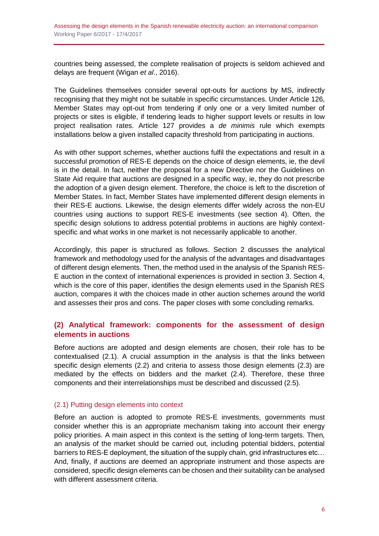countries being assessed, the complete realisation of projects is seldom achieved and delays are frequent (Wigan *et al*., 2016).

The Guidelines themselves consider several opt-outs for auctions by MS, indirectly recognising that they might not be suitable in specific circumstances. Under Article 126, Member States may opt-out from tendering if only one or a very limited number of projects or sites is eligible, if tendering leads to higher support levels or results in low project realisation rates. Article 127 provides a *de minimis* rule which exempts installations below a given installed capacity threshold from participating in auctions.

As with other support schemes, whether auctions fulfil the expectations and result in a successful promotion of RES-E depends on the choice of design elements, ie, the devil is in the detail. In fact, neither the proposal for a new Directive nor the Guidelines on State Aid require that auctions are designed in a specific way, ie, they do not prescribe the adoption of a given design element. Therefore, the choice is left to the discretion of Member States. In fact, Member States have implemented different design elements in their RES-E auctions. Likewise, the design elements differ widely across the non-EU countries using auctions to support RES-E investments (see section 4). Often, the specific design solutions to address potential problems in auctions are highly contextspecific and what works in one market is not necessarily applicable to another.

Accordingly, this paper is structured as follows. Section 2 discusses the analytical framework and methodology used for the analysis of the advantages and disadvantages of different design elements. Then, the method used in the analysis of the Spanish RES-E auction in the context of international experiences is provided in section 3. Section 4, which is the core of this paper, identifies the design elements used in the Spanish RES auction, compares it with the choices made in other auction schemes around the world and assesses their pros and cons. The paper closes with some concluding remarks.

## <span id="page-5-0"></span>**(2) Analytical framework: components for the assessment of design elements in auctions**

Before auctions are adopted and design elements are chosen, their role has to be contextualised (2.1). A crucial assumption in the analysis is that the links between specific design elements (2.2) and criteria to assess those design elements (2.3) are mediated by the effects on bidders and the market (2.4). Therefore, these three components and their interrelationships must be described and discussed (2.5).

#### <span id="page-5-1"></span>(2.1) Putting design elements into context

Before an auction is adopted to promote RES-E investments, governments must consider whether this is an appropriate mechanism taking into account their energy policy priorities. A main aspect in this context is the setting of long-term targets. Then, an analysis of the market should be carried out, including potential bidders, potential barriers to RES-E deployment, the situation of the supply chain, grid infrastructures etc… And, finally, if auctions are deemed an appropriate instrument and those aspects are considered, specific design elements can be chosen and their suitability can be analysed with different assessment criteria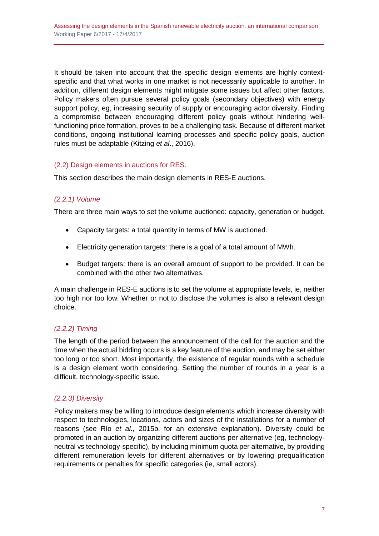It should be taken into account that the specific design elements are highly contextspecific and that what works in one market is not necessarily applicable to another. In addition, different design elements might mitigate some issues but affect other factors. Policy makers often pursue several policy goals (secondary objectives) with energy support policy, eg, increasing security of supply or encouraging actor diversity. Finding a compromise between encouraging different policy goals without hindering wellfunctioning price formation, proves to be a challenging task. Because of different market conditions, ongoing institutional learning processes and specific policy goals, auction rules must be adaptable (Kitzing *et al*., 2016).

## <span id="page-6-0"></span>(2.2) Design elements in auctions for RES.

This section describes the main design elements in RES-E auctions.

## <span id="page-6-1"></span>*(2.2.1) Volume*

There are three main ways to set the volume auctioned: capacity, generation or budget.

- Capacity targets: a total quantity in terms of MW is auctioned.
- Electricity generation targets: there is a goal of a total amount of MWh.
- Budget targets: there is an overall amount of support to be provided. It can be combined with the other two alternatives.

A main challenge in RES-E auctions is to set the volume at appropriate levels, ie, neither too high nor too low. Whether or not to disclose the volumes is also a relevant design choice.

## <span id="page-6-2"></span>*(2.2.2) Timing*

The length of the period between the announcement of the call for the auction and the time when the actual bidding occurs is a key feature of the auction, and may be set either too long or too short. Most importantly, the existence of regular rounds with a schedule is a design element worth considering. Setting the number of rounds in a year is a difficult, technology-specific issue.

## <span id="page-6-3"></span>*(2.2.3) Diversity*

Policy makers may be willing to introduce design elements which increase diversity with respect to technologies, locations, actors and sizes of the installations for a number of reasons (see Río *et al.,* 2015b, for an extensive explanation). Diversity could be promoted in an auction by organizing different auctions per alternative (eg, technologyneutral vs technology-specific), by including minimum quota per alternative, by providing different remuneration levels for different alternatives or by lowering prequalification requirements or penalties for specific categories (ie, small actors).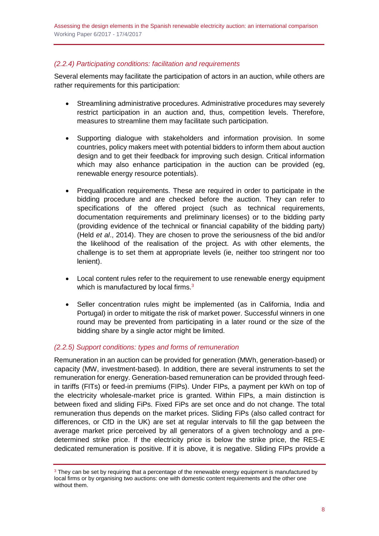## <span id="page-7-0"></span>*(2.2.4) Participating conditions: facilitation and requirements*

Several elements may facilitate the participation of actors in an auction, while others are rather requirements for this participation:

- Streamlining administrative procedures. Administrative procedures may severely restrict participation in an auction and, thus, competition levels. Therefore, measures to streamline them may facilitate such participation.
- Supporting dialogue with stakeholders and information provision. In some countries, policy makers meet with potential bidders to inform them about auction design and to get their feedback for improving such design. Critical information which may also enhance participation in the auction can be provided (eg. renewable energy resource potentials).
- Prequalification requirements. These are required in order to participate in the bidding procedure and are checked before the auction. They can refer to specifications of the offered project (such as technical requirements, documentation requirements and preliminary licenses) or to the bidding party (providing evidence of the technical or financial capability of the bidding party) (Held *et al*., 2014). They are chosen to prove the seriousness of the bid and/or the likelihood of the realisation of the project. As with other elements, the challenge is to set them at appropriate levels (ie, neither too stringent nor too lenient).
- Local content rules refer to the requirement to use renewable energy equipment which is manufactured by local firms.<sup>3</sup>
- Seller concentration rules might be implemented (as in California, India and Portugal) in order to mitigate the risk of market power. Successful winners in one round may be prevented from participating in a later round or the size of the bidding share by a single actor might be limited.

#### <span id="page-7-1"></span>*(2.2.5) Support conditions: types and forms of remuneration*

Remuneration in an auction can be provided for generation (MWh, generation-based) or capacity (MW, investment-based). In addition, there are several instruments to set the remuneration for energy. Generation-based remuneration can be provided through feedin tariffs (FITs) or feed-in premiums (FIPs). Under FIPs, a payment per kWh on top of the electricity wholesale-market price is granted. Within FIPs, a main distinction is between fixed and sliding FiPs. Fixed FiPs are set once and do not change. The total remuneration thus depends on the market prices. Sliding FiPs (also called contract for differences, or CfD in the UK) are set at regular intervals to fill the gap between the average market price perceived by all generators of a given technology and a predetermined strike price. If the electricity price is below the strike price, the RES-E dedicated remuneration is positive. If it is above, it is negative. Sliding FIPs provide a

<sup>&</sup>lt;sup>3</sup> They can be set by requiring that a percentage of the renewable energy equipment is manufactured by local firms or by organising two auctions: one with domestic content requirements and the other one without them.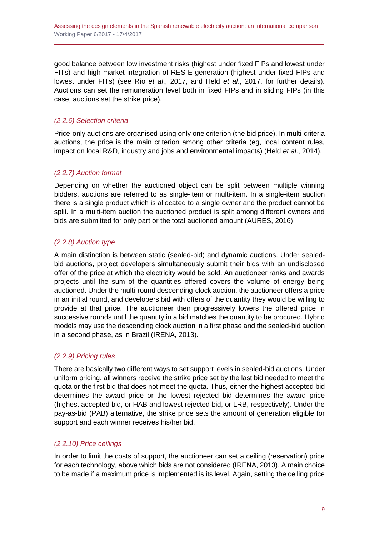good balance between low investment risks (highest under fixed FIPs and lowest under FITs) and high market integration of RES-E generation (highest under fixed FIPs and lowest under FITs) (see Río *et al*., 2017, and Held *et al*., 2017, for further details). Auctions can set the remuneration level both in fixed FIPs and in sliding FIPs (in this case, auctions set the strike price).

## <span id="page-8-0"></span>*(2.2.6) Selection criteria*

Price-only auctions are organised using only one criterion (the bid price). In multi-criteria auctions, the price is the main criterion among other criteria (eg, local content rules, impact on local R&D, industry and jobs and environmental impacts) (Held *et al*., 2014).

## <span id="page-8-1"></span>*(2.2.7) Auction format*

Depending on whether the auctioned object can be split between multiple winning bidders, auctions are referred to as single-item or multi-item. In a single-item auction there is a single product which is allocated to a single owner and the product cannot be split. In a multi-item auction the auctioned product is split among different owners and bids are submitted for only part or the total auctioned amount (AURES, 2016).

## <span id="page-8-2"></span>*(2.2.8) Auction type*

A main distinction is between static (sealed-bid) and dynamic auctions. Under sealedbid auctions, project developers simultaneously submit their bids with an undisclosed offer of the price at which the electricity would be sold. An auctioneer ranks and awards projects until the sum of the quantities offered covers the volume of energy being auctioned. Under the multi-round descending-clock auction, the auctioneer offers a price in an initial round, and developers bid with offers of the quantity they would be willing to provide at that price. The auctioneer then progressively lowers the offered price in successive rounds until the quantity in a bid matches the quantity to be procured. Hybrid models may use the descending clock auction in a first phase and the sealed-bid auction in a second phase, as in Brazil (IRENA, 2013).

## <span id="page-8-3"></span>*(2.2.9) Pricing rules*

There are basically two different ways to set support levels in sealed-bid auctions. Under uniform pricing, all winners receive the strike price set by the last bid needed to meet the quota or the first bid that does not meet the quota. Thus, either the highest accepted bid determines the award price or the lowest rejected bid determines the award price (highest accepted bid, or HAB and lowest rejected bid, or LRB, respectively). Under the pay-as-bid (PAB) alternative, the strike price sets the amount of generation eligible for support and each winner receives his/her bid.

## <span id="page-8-4"></span>*(2.2.10) Price ceilings*

In order to limit the costs of support, the auctioneer can set a ceiling (reservation) price for each technology, above which bids are not considered (IRENA, 2013). A main choice to be made if a maximum price is implemented is its level. Again, setting the ceiling price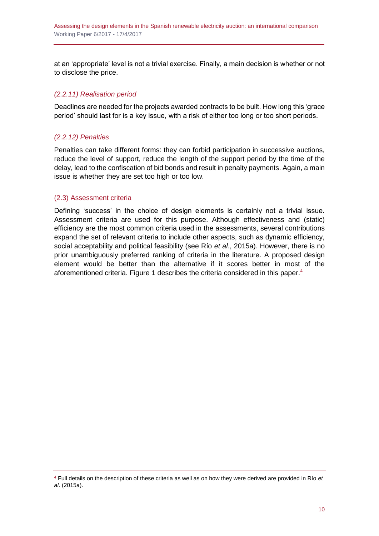at an 'appropriate' level is not a trivial exercise. Finally, a main decision is whether or not to disclose the price.

## <span id="page-9-0"></span>*(2.2.11) Realisation period*

Deadlines are needed for the projects awarded contracts to be built. How long this 'grace period' should last for is a key issue, with a risk of either too long or too short periods.

## <span id="page-9-1"></span>*(2.2.12) Penalties*

Penalties can take different forms: they can forbid participation in successive auctions, reduce the level of support, reduce the length of the support period by the time of the delay, lead to the confiscation of bid bonds and result in penalty payments. Again, a main issue is whether they are set too high or too low.

### <span id="page-9-2"></span>(2.3) Assessment criteria

Defining 'success' in the choice of design elements is certainly not a trivial issue. Assessment criteria are used for this purpose. Although effectiveness and (static) efficiency are the most common criteria used in the assessments, several contributions expand the set of relevant criteria to include other aspects, such as dynamic efficiency, social acceptability and political feasibility (see Río *et al*., 2015a). However, there is no prior unambiguously preferred ranking of criteria in the literature. A proposed design element would be better than the alternative if it scores better in most of the aforementioned criteria. Figure 1 describes the criteria considered in this paper.<sup>4</sup>

<sup>4</sup> Full details on the description of these criteria as well as on how they were derived are provided in Río *et al*. (2015a).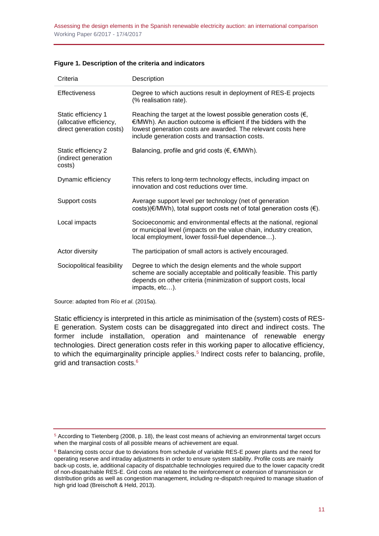|  |  |  | Figure 1. Description of the criteria and indicators |
|--|--|--|------------------------------------------------------|
|--|--|--|------------------------------------------------------|

| Criteria                                                                   | Description                                                                                                                                                                                                                                                      |
|----------------------------------------------------------------------------|------------------------------------------------------------------------------------------------------------------------------------------------------------------------------------------------------------------------------------------------------------------|
| <b>Effectiveness</b>                                                       | Degree to which auctions result in deployment of RES-E projects<br>(% realisation rate).                                                                                                                                                                         |
| Static efficiency 1<br>(allocative efficiency,<br>direct generation costs) | Reaching the target at the lowest possible generation costs ( $\epsilon$ ,<br>€/MWh). An auction outcome is efficient if the bidders with the<br>lowest generation costs are awarded. The relevant costs here<br>include generation costs and transaction costs. |
| Static efficiency 2<br>(indirect generation<br>costs)                      | Balancing, profile and grid costs ( $\epsilon$ , $\epsilon$ /MWh).                                                                                                                                                                                               |
| Dynamic efficiency                                                         | This refers to long-term technology effects, including impact on<br>innovation and cost reductions over time.                                                                                                                                                    |
| Support costs                                                              | Average support level per technology (net of generation<br>costs)(€/MWh), total support costs net of total generation costs (€).                                                                                                                                 |
| Local impacts                                                              | Socioeconomic and environmental effects at the national, regional<br>or municipal level (impacts on the value chain, industry creation,<br>local employment, lower fossil-fuel dependence).                                                                      |
| Actor diversity                                                            | The participation of small actors is actively encouraged.                                                                                                                                                                                                        |
| Sociopolitical feasibility                                                 | Degree to which the design elements and the whole support<br>scheme are socially acceptable and politically feasible. This partly<br>depends on other criteria (minimization of support costs, local<br>impacts, etc).                                           |

Source: adapted from Río *et al*. (2015a).

Static efficiency is interpreted in this article as minimisation of the (system) costs of RES-E generation. System costs can be disaggregated into direct and indirect costs. The former include installation, operation and maintenance of renewable energy technologies. Direct generation costs refer in this working paper to allocative efficiency, to which the equimarginality principle applies.<sup>5</sup> Indirect costs refer to balancing, profile, grid and transaction costs.<sup>6</sup>

<sup>5</sup> According to Tietenberg (2008, p. 18), the least cost means of achieving an environmental target occurs when the marginal costs of all possible means of achievement are equal.

<sup>&</sup>lt;sup>6</sup> Balancing costs occur due to deviations from schedule of variable RES-E power plants and the need for operating reserve and intraday adjustments in order to ensure system stability. Profile costs are mainly back-up costs, ie, additional capacity of dispatchable technologies required due to the lower capacity credit of non-dispatchable RES-E. Grid costs are related to the reinforcement or extension of transmission or distribution grids as well as congestion management, including re-dispatch required to manage situation of high grid load (Breischoft & Held, 2013).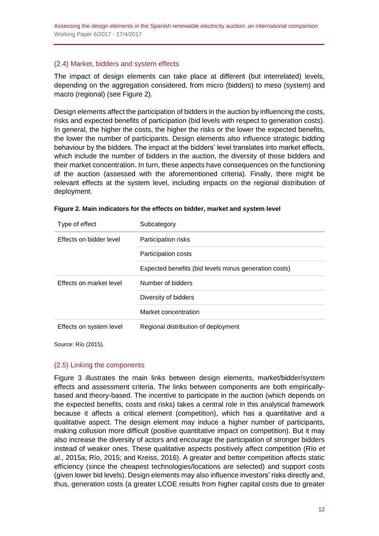Assessing the design elements in the Spanish renewable electricity auction: an international comparison Working Paper 6/2017 - 17/4/2017

#### <span id="page-11-0"></span>(2.4) Market, bidders and system effects

The impact of design elements can take place at different (but interrelated) levels, depending on the aggregation considered, from micro (bidders) to meso (system) and macro (regional) (see Figure 2).

Design elements affect the participation of bidders in the auction by influencing the costs, risks and expected benefits of participation (bid levels with respect to generation costs). In general, the higher the costs, the higher the risks or the lower the expected benefits, the lower the number of participants. Design elements also influence strategic bidding behaviour by the bidders. The impact at the bidders' level translates into market effects, which include the number of bidders in the auction, the diversity of those bidders and their market concentration. In turn, these aspects have consequences on the functioning of the auction (assessed with the aforementioned criteria). Finally, there might be relevant effects at the system level, including impacts on the regional distribution of deployment.

| Type of effect          | Subcategory                                           |
|-------------------------|-------------------------------------------------------|
| Effects on bidder level | Participation risks                                   |
|                         | Participation costs                                   |
|                         | Expected benefits (bid levels minus generation costs) |
| Effects on market level | Number of bidders                                     |
|                         | Diversity of bidders                                  |
|                         | Market concentration                                  |
| Effects on system level | Regional distribution of deployment                   |

| Figure 2. Main indicators for the effects on bidder, market and system level |  |  |  |
|------------------------------------------------------------------------------|--|--|--|

Source: Río (2015).

#### <span id="page-11-1"></span>(2.5) Linking the components

Figure 3 illustrates the main links between design elements, market/bidder/system effects and assessment criteria. The links between components are both empiricallybased and theory-based. The incentive to participate in the auction (which depends on the expected benefits, costs and risks) takes a central role in this analytical framework because it affects a critical element (competition), which has a quantitative and a qualitative aspect. The design element may induce a higher number of participants, making collusion more difficult (positive quantitative impact on competition). But it may also increase the diversity of actors and encourage the participation of stronger bidders instead of weaker ones. These qualitative aspects positively affect competition (Río *et al*., 2015a; Río, 2015; and Kreiss, 2016). A greater and better competition affects static efficiency (since the cheapest technologies/locations are selected) and support costs (given lower bid levels). Design elements may also influence investors' risks directly and, thus, generation costs (a greater LCOE results from higher capital costs due to greater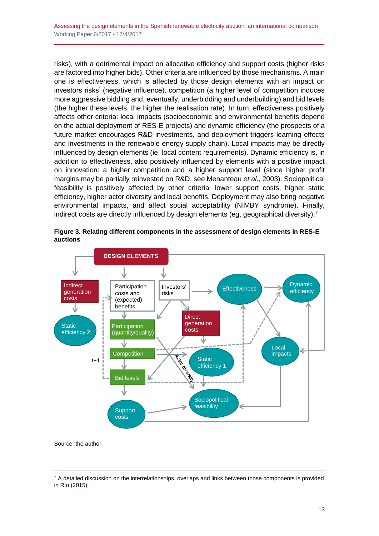risks), with a detrimental impact on allocative efficiency and support costs (higher risks are factored into higher bids). Other criteria are influenced by those mechanisms. A main one is effectiveness, which is affected by those design elements with an impact on investors risks' (negative influence), competition (a higher level of competition induces more aggressive bidding and, eventually, underbidding and underbuilding) and bid levels (the higher these levels, the higher the realisation rate). In turn, effectiveness positively affects other criteria: local impacts (socioeconomic and environmental benefits depend on the actual deployment of RES-E projects) and dynamic efficiency (the prospects of a future market encourages R&D investments, and deployment triggers learning effects and investments in the renewable energy supply chain). Local impacts may be directly influenced by design elements (ie, local content requirements). Dynamic efficiency is, in addition to effectiveness, also positively influenced by elements with a positive impact on innovation: a higher competition and a higher support level (since higher profit margins may be partially reinvested on R&D, see Menanteau *et al*., 2003). Sociopolitical feasibility is positively affected by other criteria: lower support costs, higher static efficiency, higher actor diversity and local benefits. Deployment may also bring negative environmental impacts, and affect social acceptability (NIMBY syndrome). Finally, indirect costs are directly influenced by design elements (eq. geographical diversity).<sup>7</sup>



**Figure 3. Relating different components in the assessment of design elements in RES-E auctions**

Source: the author.

 $7$  A detailed discussion on the interrelationships, overlaps and links between those components is provided in Río (2015).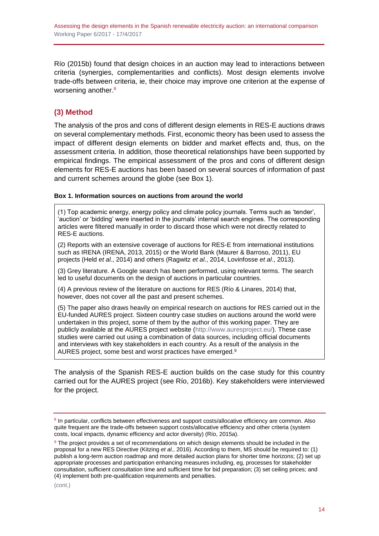Río (2015b) found that design choices in an auction may lead to interactions between criteria (synergies, complementarities and conflicts). Most design elements involve trade-offs between criteria, ie, their choice may improve one criterion at the expense of worsening another.<sup>8</sup>

## <span id="page-13-0"></span>**(3) Method**

The analysis of the pros and cons of different design elements in RES-E auctions draws on several complementary methods. First, economic theory has been used to assess the impact of different design elements on bidder and market effects and, thus, on the assessment criteria. In addition, those theoretical relationships have been supported by empirical findings. The empirical assessment of the pros and cons of different design elements for RES-E auctions has been based on several sources of information of past and current schemes around the globe (see Box 1).

#### **Box 1. Information sources on auctions from around the world**

(1) Top academic energy, energy policy and climate policy journals. Terms such as 'tender', 'auction' or 'bidding' were inserted in the journals' internal search engines. The corresponding articles were filtered manually in order to discard those which were not directly related to RES-E auctions.

(2) Reports with an extensive coverage of auctions for RES-E from international institutions such as IRENA (IRENA, 2013, 2015) or the World Bank (Maurer & Barroso, 2011), EU projects (Held *et al*., 2014) and others (Ragwitz *et al*., 2014, Lovinfosse *et al*., 2013).

(3) Grey literature. A Google search has been performed, using relevant terms. The search led to useful documents on the design of auctions in particular countries.

(4) A previous review of the literature on auctions for RES (Río & Linares, 2014) that, however, does not cover all the past and present schemes.

(5) The paper also draws heavily on empirical research on auctions for RES carried out in the EU-funded AURES project. Sixteen country case studies on auctions around the world were undertaken in this project, some of them by the author of this working paper. They are publicly available at the AURES project website [\(http://www.auresproject.eu/\)](http://www.auresproject.eu/). These case studies were carried out using a combination of data sources, including official documents and interviews with key stakeholders in each country. As a result of the analysis in the AURES project, some best and worst practices have emerged.<sup>9</sup>

The analysis of the Spanish RES-E auction builds on the case study for this country carried out for the AURES project (see Río, 2016b). Key stakeholders were interviewed for the project.

<sup>&</sup>lt;sup>8</sup> In particular, conflicts between effectiveness and support costs/allocative efficiency are common. Also quite frequent are the trade-offs between support costs/allocative efficiency and other criteria (system costs, local impacts, dynamic efficiency and actor diversity) (Río, 2015a).

<sup>&</sup>lt;sup>9</sup> The project provides a set of recommendations on which design elements should be included in the proposal for a new RES Directive (Kitzing *et al*., 2016). According to them, MS should be required to: (1) publish a long-term auction roadmap and more detailed auction plans for shorter time horizons; (2) set up appropriate processes and participation enhancing measures including, eg, processes for stakeholder consultation, sufficient consultation time and sufficient time for bid preparation; (3) set ceiling prices; and (4) implement both pre-qualification requirements and penalties.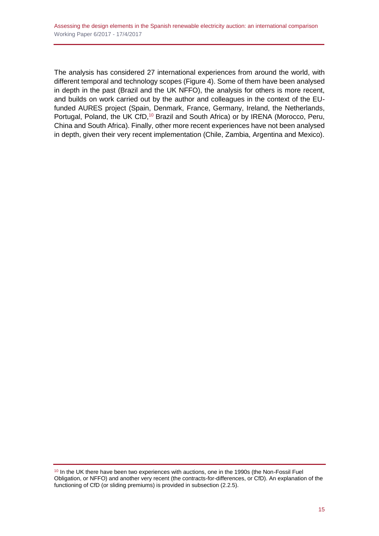The analysis has considered 27 international experiences from around the world, with different temporal and technology scopes (Figure 4). Some of them have been analysed in depth in the past (Brazil and the UK NFFO), the analysis for others is more recent, and builds on work carried out by the author and colleagues in the context of the EUfunded AURES project (Spain, Denmark, France, Germany, Ireland, the Netherlands, Portugal, Poland, the UK CfD,<sup>10</sup> Brazil and South Africa) or by IRENA (Morocco, Peru, China and South Africa). Finally, other more recent experiences have not been analysed in depth, given their very recent implementation (Chile, Zambia, Argentina and Mexico).

 $10$  In the UK there have been two experiences with auctions, one in the 1990s (the Non-Fossil Fuel Obligation, or NFFO) and another very recent (the contracts-for-differences, or CfD). An explanation of the functioning of CfD (or sliding premiums) is provided in subsection (2.2.5).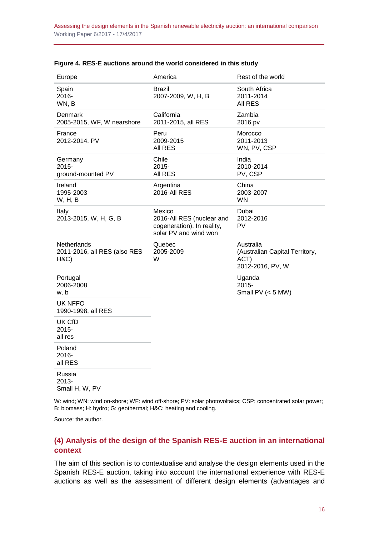| Europe                                             | America                                                                                    | Rest of the world                                                       |
|----------------------------------------------------|--------------------------------------------------------------------------------------------|-------------------------------------------------------------------------|
| Spain<br>$2016 -$<br>WN, B                         | Brazil<br>2007-2009, W, H, B                                                               | South Africa<br>2011-2014<br><b>AII RES</b>                             |
| Denmark<br>2005-2015, WF, W nearshore              | California<br>2011-2015, all RES                                                           | Zambia<br>2016 pv                                                       |
| France<br>2012-2014, PV                            | Peru<br>2009-2015<br>All RES                                                               | Morocco<br>2011-2013<br>WN, PV, CSP                                     |
| Germany<br>2015-<br>ground-mounted PV              | Chile<br>2015-<br>All RES                                                                  | India<br>2010-2014<br>PV, CSP                                           |
| Ireland<br>1995-2003<br><b>W</b> , H, B            | Argentina<br><b>2016-All RES</b>                                                           | China<br>2003-2007<br><b>WN</b>                                         |
| Italy<br>2013-2015, W, H, G, B                     | Mexico<br>2016-All RES (nuclear and<br>cogeneration). In reality,<br>solar PV and wind won | Dubai<br>2012-2016<br>PV                                                |
| Netherlands<br>2011-2016, all RES (also RES<br>H&C | Quebec<br>2005-2009<br>W                                                                   | Australia<br>(Australian Capital Territory,<br>ACT)<br>2012-2016, PV, W |
| Portugal<br>2006-2008<br>w, b                      |                                                                                            | Uganda<br>2015-<br>Small PV $(< 5$ MW)                                  |
| UK NFFO<br>1990-1998, all RES                      |                                                                                            |                                                                         |
| UK CfD<br>2015-<br>all res                         |                                                                                            |                                                                         |
| Poland<br>2016-<br>all RES                         |                                                                                            |                                                                         |
| Russia<br>2013-<br>Small H, W, PV                  |                                                                                            |                                                                         |

#### **Figure 4. RES-E auctions around the world considered in this study**

W: wind; WN: wind on-shore; WF: wind off-shore; PV: solar photovoltaics; CSP: concentrated solar power; B: biomass; H: hydro; G: geothermal; H&C: heating and cooling.

Source: the author.

### <span id="page-15-0"></span>**(4) Analysis of the design of the Spanish RES-E auction in an international context**

The aim of this section is to contextualise and analyse the design elements used in the Spanish RES-E auction, taking into account the international experience with RES-E auctions as well as the assessment of different design elements (advantages and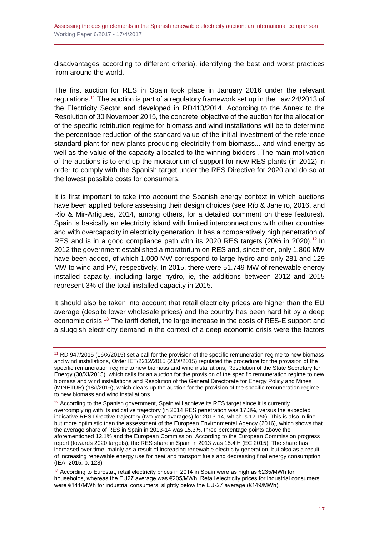disadvantages according to different criteria), identifying the best and worst practices from around the world.

The first auction for RES in Spain took place in January 2016 under the relevant regulations.<sup>11</sup> The auction is part of a regulatory framework set up in the Law 24/2013 of the Electricity Sector and developed in RD413/2014. According to the Annex to the Resolution of 30 November 2015, the concrete 'objective of the auction for the allocation of the specific retribution regime for biomass and wind installations will be to determine the percentage reduction of the standard value of the initial investment of the reference standard plant for new plants producing electricity from biomass... and wind energy as well as the value of the capacity allocated to the winning bidders'. The main motivation of the auctions is to end up the moratorium of support for new RES plants (in 2012) in order to comply with the Spanish target under the RES Directive for 2020 and do so at the lowest possible costs for consumers.

It is first important to take into account the Spanish energy context in which auctions have been applied before assessing their design choices (see Río & Janeiro, 2016, and Río & Mir-Artigues, 2014, among others, for a detailed comment on these features). Spain is basically an electricity island with limited interconnections with other countries and with overcapacity in electricity generation. It has a comparatively high penetration of RES and is in a good compliance path with its 2020 RES targets  $(20\%$  in 2020).<sup>12</sup> In 2012 the government established a moratorium on RES and, since then, only 1.800 MW have been added, of which 1.000 MW correspond to large hydro and only 281 and 129 MW to wind and PV, respectively. In 2015, there were 51.749 MW of renewable energy installed capacity, including large hydro, ie, the additions between 2012 and 2015 represent 3% of the total installed capacity in 2015.

It should also be taken into account that retail electricity prices are higher than the EU average (despite lower wholesale prices) and the country has been hard hit by a deep economic crisis.<sup>13</sup> The tariff deficit, the large increase in the costs of RES-E support and a sluggish electricity demand in the context of a deep economic crisis were the factors

<sup>11</sup> RD 947/2015 (16/X/2015) set a call for the provision of the specific remuneration regime to new biomass and wind installations, Order IET/2212/2015 (23/X/2015) regulated the procedure for the provision of the specific remuneration regime to new biomass and wind installations, Resolution of the State Secretary for Energy (30/XI/2015), which calls for an auction for the provision of the specific remuneration regime to new biomass and wind installations and Resolution of the General Directorate for Energy Policy and Mines (MINETUR) (18/I/2016), which clears up the auction for the provision of the specific remuneration regime to new biomass and wind installations.

 $12$  According to the Spanish government, Spain will achieve its RES target since it is currently overcomplying with its indicative trajectory (in 2014 RES penetration was 17.3%, versus the expected indicative RES Directive trajectory (two-year averages) for 2013-14, which is 12.1%). This is also in line but more optimistic than the assessment of the European Environmental Agency (2016), which shows that the average share of RES in Spain in 2013-14 was 15.3%, three percentage points above the aforementioned 12.1% and the European Commission. According to the European Commission progress report (towards 2020 targets), the RES share in Spain in 2013 was 15.4% (EC 2015). The share has increased over time, mainly as a result of increasing renewable electricity generation, but also as a result of increasing renewable energy use for heat and transport fuels and decreasing final energy consumption (IEA, 2015, p. 128).

<sup>&</sup>lt;sup>13</sup> According to Eurostat, retail electricity prices in 2014 in Spain were as high as €235/MWh for households, whereas the EU27 average was €205/MWh. Retail electricity prices for industrial consumers were €141/MWh for industrial consumers, slightly below the EU-27 average (€149/MWh).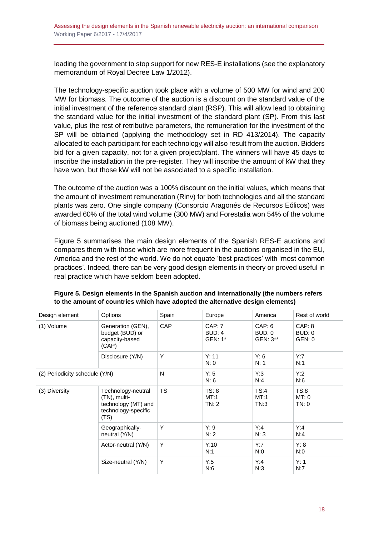leading the government to stop support for new RES-E installations (see the explanatory memorandum of Royal Decree Law 1/2012).

The technology-specific auction took place with a volume of 500 MW for wind and 200 MW for biomass. The outcome of the auction is a discount on the standard value of the initial investment of the reference standard plant (RSP). This will allow lead to obtaining the standard value for the initial investment of the standard plant (SP). From this last value, plus the rest of retributive parameters, the remuneration for the investment of the SP will be obtained (applying the methodology set in RD 413/2014). The capacity allocated to each participant for each technology will also result from the auction. Bidders bid for a given capacity, not for a given project/plant. The winners will have 45 days to inscribe the installation in the pre-register. They will inscribe the amount of kW that they have won, but those kW will not be associated to a specific installation.

The outcome of the auction was a 100% discount on the initial values, which means that the amount of investment remuneration (Rinv) for both technologies and all the standard plants was zero. One single company (Consorcio Aragonés de Recursos Eólicos) was awarded 60% of the total wind volume (300 MW) and Forestalia won 54% of the volume of biomass being auctioned (108 MW).

Figure 5 summarises the main design elements of the Spanish RES-E auctions and compares them with those which are more frequent in the auctions organised in the EU, America and the rest of the world. We do not equate 'best practices' with 'most common practices'. Indeed, there can be very good design elements in theory or proved useful in real practice which have seldom been adopted.

| Design element                 | Options                                                                                  | Spain      | Europe                             | America                      | Rest of world              |
|--------------------------------|------------------------------------------------------------------------------------------|------------|------------------------------------|------------------------------|----------------------------|
| (1) Volume                     | Generation (GEN),<br>budget (BUD) or<br>capacity-based<br>(CAP)                          | <b>CAP</b> | CAP: 7<br><b>BUD: 4</b><br>GEN: 1* | CAP: 6<br>BUD: 0<br>GEN: 3** | CAP: 8<br>BUD: 0<br>GEN: 0 |
|                                | Disclosure (Y/N)                                                                         | Y          | Y: 11<br>N: 0                      | Y: 6<br>N: 1                 | Y:7<br>N:1                 |
| (2) Periodicity schedule (Y/N) |                                                                                          | N          | Y: 5<br>N: 6                       | Y:3<br>N:4                   | Y:2<br>N:6                 |
| (3) Diversity                  | Technology-neutral<br>(TN), multi-<br>technology (MT) and<br>technology-specific<br>(TS) | <b>TS</b>  | TS: 8<br>MT:1<br>TN:2              | TS:4<br>MT:1<br>TN:3         | TS:8<br>MT: 0<br>TN:0      |
|                                | Geographically-<br>neutral (Y/N)                                                         | Y          | Y: 9<br>N: 2                       | Y:4<br>N:3                   | Y:4<br>N:4                 |
|                                | Actor-neutral (Y/N)                                                                      | Y          | Y:10<br>N:1                        | Y:7<br>N:0                   | Y: 8<br>N:0                |
|                                | Size-neutral (Y/N)                                                                       | Υ          | Y:5<br>N:6                         | Y:4<br>N:3                   | Y: 1<br>N:7                |

**Figure 5. Design elements in the Spanish auction and internationally (the numbers refers to the amount of countries which have adopted the alternative design elements)**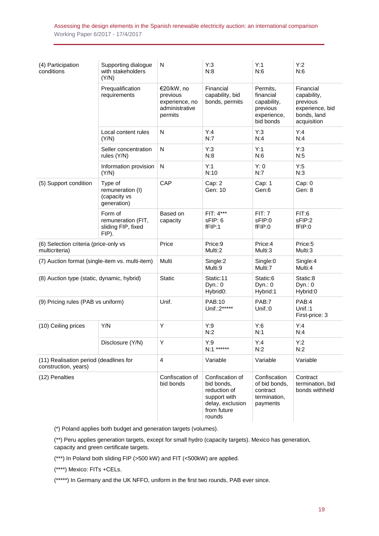Assessing the design elements in the Spanish renewable electricity auction: an international comparison Working Paper 6/2017 - 17/4/2017

| (4) Participation<br>conditions                                | Supporting dialogue<br>with stakeholders<br>(Y/N)            | N                                                                     | Y:3<br>N:8                                                                                                 | Y:1<br>N:6                                                                   | Y:2<br>N:6                                                                            |
|----------------------------------------------------------------|--------------------------------------------------------------|-----------------------------------------------------------------------|------------------------------------------------------------------------------------------------------------|------------------------------------------------------------------------------|---------------------------------------------------------------------------------------|
|                                                                | Prequalification<br>requirements                             | €20/kW, no<br>previous<br>experience, no<br>administrative<br>permits | Financial<br>capability, bid<br>bonds, permits                                                             | Permits,<br>financial<br>capability,<br>previous<br>experience,<br>bid bonds | Financial<br>capability,<br>previous<br>experience, bid<br>bonds, land<br>acquisition |
|                                                                | Local content rules<br>(Y/N)                                 | ${\sf N}$                                                             | Y:4<br>N:7                                                                                                 | Y:3<br>N:4                                                                   | Y:4<br>N:4                                                                            |
|                                                                | Seller concentration<br>rules (Y/N)                          | ${\sf N}$                                                             | Y:3<br>N:8                                                                                                 | Y:1<br>N:6                                                                   | Y:3<br>N:5                                                                            |
|                                                                | Information provision<br>(Y/N)                               | ${\sf N}$                                                             | Y:1<br>N:10                                                                                                | Y: 0<br>N:7                                                                  | Y:5<br>N:3                                                                            |
| (5) Support condition                                          | Type of<br>remuneration (I)<br>(capacity vs<br>generation)   | CAP                                                                   | Cap: 2<br>Gen: 10                                                                                          | Cap: 1<br>Gen:6                                                              | Cap: 0<br>Gen: 8                                                                      |
|                                                                | Form of<br>remuneration (FIT,<br>sliding FIP, fixed<br>FIP). | Based on<br>capacity                                                  | $FIT: 4***$<br>sFIP: 6<br>fFIP:1                                                                           | FIT: 7<br>sFIP:0<br>fFIP:0                                                   | FIT:6<br>sFIP:2<br>fFIP:0                                                             |
| (6) Selection criteria (price-only vs<br>multicriteria)        |                                                              | Price                                                                 | Price:9<br>Multi:2                                                                                         | Price:4<br>Multi:3                                                           | Price:5<br>Multi:3                                                                    |
| (7) Auction format (single-item vs. multi-item)                |                                                              | Multi                                                                 | Single:2<br>Multi:9                                                                                        | Single:0<br>Multi:7                                                          | Single:4<br>Multi:4                                                                   |
| (8) Auction type (static, dynamic, hybrid)                     |                                                              | Static                                                                | Static:11<br>Dyn.: 0<br>Hybrid0:                                                                           | Static:6<br>Dyn.: 0<br>Hybrid:1                                              | Static:8<br>Dyn.: 0<br>Hybrid:0                                                       |
| (9) Pricing rules (PAB vs uniform)                             |                                                              | Unif.                                                                 | PAB:10<br>Unif.: 2*****                                                                                    | PAB:7<br>Unif.:0                                                             | PAB:4<br>Unif.:1<br>First-price: 3                                                    |
| (10) Ceiling prices                                            | Y/N                                                          | Υ                                                                     | Y:9<br>N:2                                                                                                 | Y:6<br>N:1                                                                   | Y:4<br>N:4                                                                            |
|                                                                | Disclosure (Y/N)                                             | Υ                                                                     | Y:9<br>N:1 ******                                                                                          | Y:4<br>N:2                                                                   | Y:2<br>N:2                                                                            |
| (11) Realisation period (deadlines for<br>construction, years) |                                                              | $\overline{\mathbf{4}}$                                               | Variable                                                                                                   | Variable                                                                     | Variable                                                                              |
| (12) Penalties                                                 |                                                              | Confiscation of<br>bid bonds                                          | Confiscation of<br>bid bonds,<br>reduction of<br>support with<br>delay, exclusion<br>from future<br>rounds | Confiscation<br>of bid bonds,<br>contract<br>termination,<br>payments        | Contract<br>termination, bid<br>bonds withheld                                        |

(\*) Poland applies both budget and generation targets (volumes).

(\*\*) Peru applies generation targets, except for small hydro (capacity targets). Mexico has generation, capacity and green certificate targets.

(\*\*\*) In Poland both sliding FIP (>500 kW) and FIT (<500kW) are applied.

(\*\*\*\*) Mexico: FITs +CELs.

(\*\*\*\*\*) In Germany and the UK NFFO, uniform in the first two rounds, PAB ever since.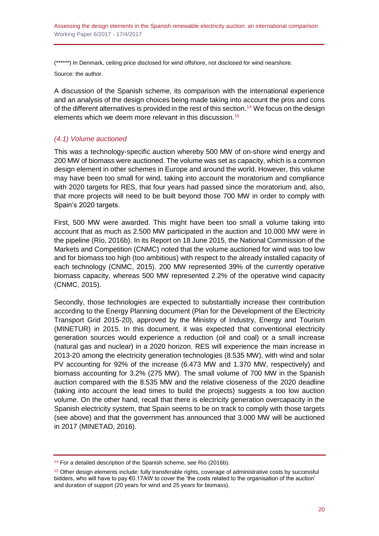(\*\*\*\*\*\*) In Denmark, ceiling price disclosed for wind offshore, not disclosed for wind nearshore. Source: the author.

A discussion of the Spanish scheme, its comparison with the international experience and an analysis of the design choices being made taking into account the pros and cons of the different alternatives is provided in the rest of this section.<sup>14</sup> We focus on the design elements which we deem more relevant in this discussion.<sup>15</sup>

## <span id="page-19-0"></span>*(4.1) Volume auctioned*

This was a technology-specific auction whereby 500 MW of on-shore wind energy and 200 MW of biomass were auctioned. The volume was set as capacity, which is a common design element in other schemes in Europe and around the world. However, this volume may have been too small for wind, taking into account the moratorium and compliance with 2020 targets for RES, that four years had passed since the moratorium and, also, that more projects will need to be built beyond those 700 MW in order to comply with Spain's 2020 targets.

First, 500 MW were awarded. This might have been too small a volume taking into account that as much as 2.500 MW participated in the auction and 10.000 MW were in the pipeline (Río, 2016b). In its Report on 18 June 2015, the National Commission of the Markets and Competition (CNMC) noted that the volume auctioned for wind was too low and for biomass too high (too ambitious) with respect to the already installed capacity of each technology (CNMC, 2015). 200 MW represented 39% of the currently operative biomass capacity, whereas 500 MW represented 2.2% of the operative wind capacity (CNMC, 2015).

Secondly, those technologies are expected to substantially increase their contribution according to the Energy Planning document (Plan for the Development of the Electricity Transport Grid 2015-20), approved by the Ministry of Industry, Energy and Tourism (MINETUR) in 2015. In this document, it was expected that conventional electricity generation sources would experience a reduction (oil and coal) or a small increase (natural gas and nuclear) in a 2020 horizon. RES will experience the main increase in 2013-20 among the electricity generation technologies (8.535 MW), with wind and solar PV accounting for 92% of the increase (6.473 MW and 1.370 MW, respectively) and biomass accounting for 3.2% (275 MW). The small volume of 700 MW in the Spanish auction compared with the 8.535 MW and the relative closeness of the 2020 deadline (taking into account the lead times to build the projects) suggests a too low auction volume. On the other hand, recall that there is electricity generation overcapacity in the Spanish electricity system, that Spain seems to be on track to comply with those targets (see above) and that the government has announced that 3.000 MW will be auctioned in 2017 (MINETAD, 2016).

<sup>&</sup>lt;sup>14</sup> For a detailed description of the Spanish scheme, see Rio (2016b).

<sup>&</sup>lt;sup>15</sup> Other design elements include: fully transferable rights, coverage of administrative costs by successful bidders, who will have to pay €0.17/kW to cover the 'the costs related to the organisation of the auction' and duration of support (20 years for wind and 25 years for biomass).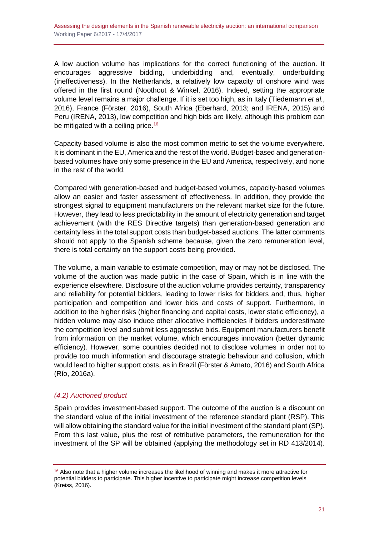A low auction volume has implications for the correct functioning of the auction. It encourages aggressive bidding, underbidding and, eventually, underbuilding (ineffectiveness). In the Netherlands, a relatively low capacity of onshore wind was offered in the first round (Noothout & Winkel, 2016). Indeed, setting the appropriate volume level remains a major challenge. If it is set too high, as in Italy (Tiedemann *et al.*, 2016), France (Förster, 2016), South Africa (Eberhard, 2013; and IRENA, 2015) and Peru (IRENA, 2013), low competition and high bids are likely, although this problem can be mitigated with a ceiling price.<sup>16</sup>

Capacity-based volume is also the most common metric to set the volume everywhere. It is dominant in the EU, America and the rest of the world. Budget-based and generationbased volumes have only some presence in the EU and America, respectively, and none in the rest of the world.

Compared with generation-based and budget-based volumes, capacity-based volumes allow an easier and faster assessment of effectiveness. In addition, they provide the strongest signal to equipment manufacturers on the relevant market size for the future. However, they lead to less predictability in the amount of electricity generation and target achievement (with the RES Directive targets) than generation-based generation and certainty less in the total support costs than budget-based auctions. The latter comments should not apply to the Spanish scheme because, given the zero remuneration level, there is total certainty on the support costs being provided.

The volume, a main variable to estimate competition, may or may not be disclosed. The volume of the auction was made public in the case of Spain, which is in line with the experience elsewhere. Disclosure of the auction volume provides certainty, transparency and reliability for potential bidders, leading to lower risks for bidders and, thus, higher participation and competition and lower bids and costs of support. Furthermore, in addition to the higher risks (higher financing and capital costs, lower static efficiency), a hidden volume may also induce other allocative inefficiencies if bidders underestimate the competition level and submit less aggressive bids. Equipment manufacturers benefit from information on the market volume, which encourages innovation (better dynamic efficiency). However, some countries decided not to disclose volumes in order not to provide too much information and discourage strategic behaviour and collusion, which would lead to higher support costs, as in Brazil (Förster & Amato, 2016) and South Africa (Río, 2016a).

## <span id="page-20-0"></span>*(4.2) Auctioned product*

Spain provides investment-based support. The outcome of the auction is a discount on the standard value of the initial investment of the reference standard plant (RSP). This will allow obtaining the standard value for the initial investment of the standard plant (SP). From this last value, plus the rest of retributive parameters, the remuneration for the investment of the SP will be obtained (applying the methodology set in RD 413/2014).

 $16$  Also note that a higher volume increases the likelihood of winning and makes it more attractive for potential bidders to participate. This higher incentive to participate might increase competition levels (Kreiss, 2016).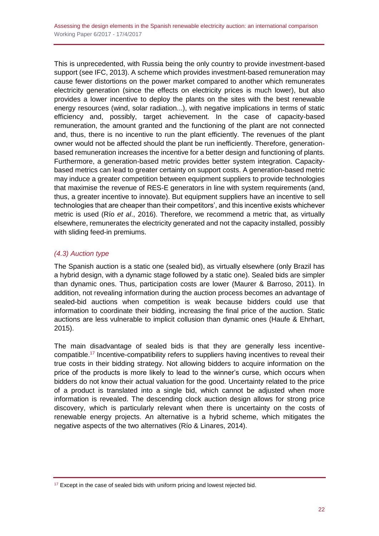This is unprecedented, with Russia being the only country to provide investment-based support (see IFC, 2013). A scheme which provides investment-based remuneration may cause fewer distortions on the power market compared to another which remunerates electricity generation (since the effects on electricity prices is much lower), but also provides a lower incentive to deploy the plants on the sites with the best renewable energy resources (wind, solar radiation...), with negative implications in terms of static efficiency and, possibly, target achievement. In the case of capacity-based remuneration, the amount granted and the functioning of the plant are not connected and, thus, there is no incentive to run the plant efficiently. The revenues of the plant owner would not be affected should the plant be run inefficiently. Therefore, generationbased remuneration increases the incentive for a better design and functioning of plants. Furthermore, a generation-based metric provides better system integration. Capacitybased metrics can lead to greater certainty on support costs. A generation-based metric may induce a greater competition between equipment suppliers to provide technologies that maximise the revenue of RES-E generators in line with system requirements (and, thus, a greater incentive to innovate). But equipment suppliers have an incentive to sell technologies that are cheaper than their competitors', and this incentive exists whichever metric is used (Río *et al*., 2016). Therefore, we recommend a metric that, as virtually elsewhere, remunerates the electricity generated and not the capacity installed, possibly with sliding feed-in premiums.

## <span id="page-21-0"></span>*(4.3) Auction type*

The Spanish auction is a static one (sealed bid), as virtually elsewhere (only Brazil has a hybrid design, with a dynamic stage followed by a static one). Sealed bids are simpler than dynamic ones. Thus, participation costs are lower (Maurer & Barroso, 2011). In addition, not revealing information during the auction process becomes an advantage of sealed-bid auctions when competition is weak because bidders could use that information to coordinate their bidding, increasing the final price of the auction. Static auctions are less vulnerable to implicit collusion than dynamic ones (Haufe & Ehrhart, 2015).

The main disadvantage of sealed bids is that they are generally less incentivecompatible.<sup>17</sup> Incentive-compatibility refers to suppliers having incentives to reveal their true costs in their bidding strategy. Not allowing bidders to acquire information on the price of the products is more likely to lead to the winner's curse, which occurs when bidders do not know their actual valuation for the good. Uncertainty related to the price of a product is translated into a single bid, which cannot be adjusted when more information is revealed. The descending clock auction design allows for strong price discovery, which is particularly relevant when there is uncertainty on the costs of renewable energy projects. An alternative is a hybrid scheme, which mitigates the negative aspects of the two alternatives (Río & Linares, 2014).

 $17$  Except in the case of sealed bids with uniform pricing and lowest rejected bid.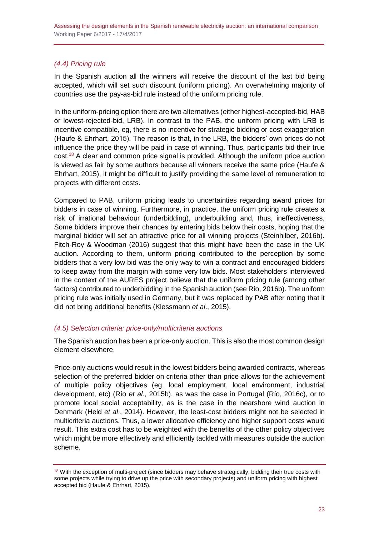## <span id="page-22-0"></span>*(4.4) Pricing rule*

In the Spanish auction all the winners will receive the discount of the last bid being accepted, which will set such discount (uniform pricing). An overwhelming majority of countries use the pay-as-bid rule instead of the uniform pricing rule.

In the uniform-pricing option there are two alternatives (either highest-accepted-bid, HAB or lowest-rejected-bid, LRB). In contrast to the PAB, the uniform pricing with LRB is incentive compatible, eg, there is no incentive for strategic bidding or cost exaggeration (Haufe & Ehrhart, 2015). The reason is that, in the LRB, the bidders' own prices do not influence the price they will be paid in case of winning. Thus, participants bid their true cost.<sup>18</sup> A clear and common price signal is provided. Although the uniform price auction is viewed as fair by some authors because all winners receive the same price (Haufe & Ehrhart, 2015), it might be difficult to justify providing the same level of remuneration to projects with different costs.

Compared to PAB, uniform pricing leads to uncertainties regarding award prices for bidders in case of winning. Furthermore, in practice, the uniform pricing rule creates a risk of irrational behaviour (underbidding), underbuilding and, thus, ineffectiveness. Some bidders improve their chances by entering bids below their costs, hoping that the marginal bidder will set an attractive price for all winning projects (Steinhilber, 2016b). Fitch-Roy & Woodman (2016) suggest that this might have been the case in the UK auction. According to them, uniform pricing contributed to the perception by some bidders that a very low bid was the only way to win a contract and encouraged bidders to keep away from the margin with some very low bids. Most stakeholders interviewed in the context of the AURES project believe that the uniform pricing rule (among other factors) contributed to underbidding in the Spanish auction (see Río, 2016b). The uniform pricing rule was initially used in Germany, but it was replaced by PAB after noting that it did not bring additional benefits (Klessmann *et al*., 2015).

## <span id="page-22-1"></span>*(4.5) Selection criteria: price-only/multicriteria auctions*

The Spanish auction has been a price-only auction. This is also the most common design element elsewhere.

Price-only auctions would result in the lowest bidders being awarded contracts, whereas selection of the preferred bidder on criteria other than price allows for the achievement of multiple policy objectives (eg, local employment, local environment, industrial development, etc) (Río *et al*., 2015b), as was the case in Portugal (Río, 2016c), or to promote local social acceptability, as is the case in the nearshore wind auction in Denmark (Held *et al*., 2014). However, the least-cost bidders might not be selected in multicriteria auctions. Thus, a lower allocative efficiency and higher support costs would result. This extra cost has to be weighted with the benefits of the other policy objectives which might be more effectively and efficiently tackled with measures outside the auction scheme.

<sup>&</sup>lt;sup>18</sup> With the exception of multi-project (since bidders may behave strategically, bidding their true costs with some projects while trying to drive up the price with secondary projects) and uniform pricing with highest accepted bid (Haufe & Ehrhart, 2015).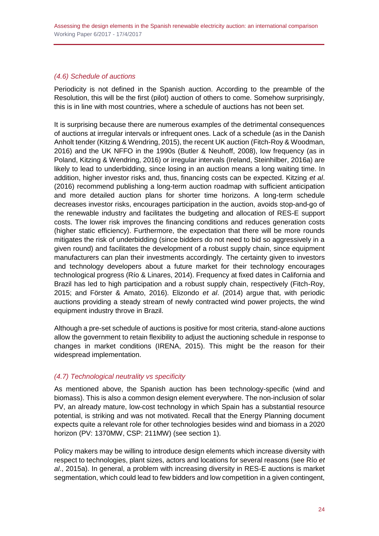## <span id="page-23-0"></span>*(4.6) Schedule of auctions*

Periodicity is not defined in the Spanish auction. According to the preamble of the Resolution, this will be the first (pilot) auction of others to come. Somehow surprisingly, this is in line with most countries, where a schedule of auctions has not been set.

It is surprising because there are numerous examples of the detrimental consequences of auctions at irregular intervals or infrequent ones. Lack of a schedule (as in the Danish Anholt tender (Kitzing & Wendring, 2015), the recent UK auction (Fitch-Roy & Woodman, 2016) and the UK NFFO in the 1990s (Butler & Neuhoff, 2008), low frequency (as in Poland, Kitzing & Wendring, 2016) or irregular intervals (Ireland, Steinhilber, 2016a) are likely to lead to underbidding, since losing in an auction means a long waiting time. In addition, higher investor risks and, thus, financing costs can be expected. Kitzing *et al*. (2016) recommend publishing a long-term auction roadmap with sufficient anticipation and more detailed auction plans for shorter time horizons. A long-term schedule decreases investor risks, encourages participation in the auction, avoids stop-and-go of the renewable industry and facilitates the budgeting and allocation of RES-E support costs. The lower risk improves the financing conditions and reduces generation costs (higher static efficiency). Furthermore, the expectation that there will be more rounds mitigates the risk of underbidding (since bidders do not need to bid so aggressively in a given round) and facilitates the development of a robust supply chain, since equipment manufacturers can plan their investments accordingly. The certainty given to investors and technology developers about a future market for their technology encourages technological progress (Río & Linares, 2014). Frequency at fixed dates in California and Brazil has led to high participation and a robust supply chain, respectively (Fitch-Roy, 2015; and Förster & Amato, 2016). Elizondo *et al*. (2014) argue that, with periodic auctions providing a steady stream of newly contracted wind power projects, the wind equipment industry throve in Brazil.

Although a pre-set schedule of auctions is positive for most criteria, stand-alone auctions allow the government to retain flexibility to adjust the auctioning schedule in response to changes in market conditions (IRENA, 2015). This might be the reason for their widespread implementation.

## <span id="page-23-1"></span>*(4.7) Technological neutrality vs specificity*

As mentioned above, the Spanish auction has been technology-specific (wind and biomass). This is also a common design element everywhere. The non-inclusion of solar PV, an already mature, low-cost technology in which Spain has a substantial resource potential, is striking and was not motivated. Recall that the Energy Planning document expects quite a relevant role for other technologies besides wind and biomass in a 2020 horizon (PV: 1370MW, CSP: 211MW) (see section 1).

Policy makers may be willing to introduce design elements which increase diversity with respect to technologies, plant sizes, actors and locations for several reasons (see Río *et al*., 2015a). In general, a problem with increasing diversity in RES-E auctions is market segmentation, which could lead to few bidders and low competition in a given contingent,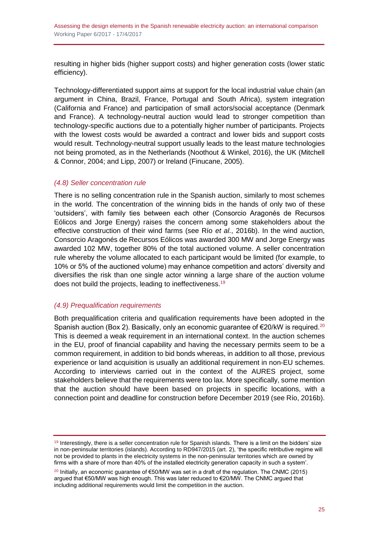resulting in higher bids (higher support costs) and higher generation costs (lower static efficiency).

Technology-differentiated support aims at support for the local industrial value chain (an argument in China, Brazil, France, Portugal and South Africa), system integration (California and France) and participation of small actors/social acceptance (Denmark and France). A technology-neutral auction would lead to stronger competition than technology-specific auctions due to a potentially higher number of participants. Projects with the lowest costs would be awarded a contract and lower bids and support costs would result. Technology-neutral support usually leads to the least mature technologies not being promoted, as in the Netherlands (Noothout & Winkel, 2016), the UK (Mitchell & Connor, 2004; and Lipp, 2007) or Ireland (Finucane, 2005).

#### <span id="page-24-0"></span>*(4.8) Seller concentration rule*

There is no selling concentration rule in the Spanish auction, similarly to most schemes in the world. The concentration of the winning bids in the hands of only two of these 'outsiders', with family ties between each other (Consorcio Aragonés de Recursos Eólicos and Jorge Energy) raises the concern among some stakeholders about the effective construction of their wind farms (see Río *et al*., 2016b). In the wind auction, Consorcio Aragonés de Recursos Eólicos was awarded 300 MW and Jorge Energy was awarded 102 MW, together 80% of the total auctioned volume. A seller concentration rule whereby the volume allocated to each participant would be limited (for example, to 10% or 5% of the auctioned volume) may enhance competition and actors' diversity and diversifies the risk than one single actor winning a large share of the auction volume does not build the projects, leading to ineffectiveness.<sup>19</sup>

#### <span id="page-24-1"></span>*(4.9) Prequalification requirements*

Both prequalification criteria and qualification requirements have been adopted in the Spanish auction (Box 2). Basically, only an economic quarantee of  $\epsilon$ 20/kW is required.<sup>20</sup> This is deemed a weak requirement in an international context. In the auction schemes in the EU, proof of financial capability and having the necessary permits seem to be a common requirement, in addition to bid bonds whereas, in addition to all those, previous experience or land acquisition is usually an additional requirement in non-EU schemes. According to interviews carried out in the context of the AURES project, some stakeholders believe that the requirements were too lax. More specifically, some mention that the auction should have been based on projects in specific locations, with a connection point and deadline for construction before December 2019 (see Río, 2016b).

 $19$  Interestingly, there is a seller concentration rule for Spanish islands. There is a limit on the bidders' size in non-peninsular territories (islands). According to RD947/2015 (art. 2), 'the specific retributive regime will not be provided to plants in the electricity systems in the non-peninsular territories which are owned by firms with a share of more than 40% of the installed electricity generation capacity in such a system'.

<sup>&</sup>lt;sup>20</sup> Initially, an economic guarantee of  $€50/MW$  was set in a draft of the regulation. The CNMC (2015) argued that €50/MW was high enough. This was later reduced to €20/MW. The CNMC argued that including additional requirements would limit the competition in the auction.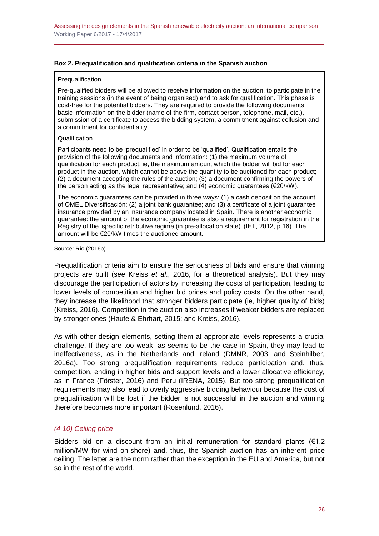#### **Box 2. Prequalification and qualification criteria in the Spanish auction**

#### Prequalification

Pre-qualified bidders will be allowed to receive information on the auction, to participate in the training sessions (in the event of being organised) and to ask for qualification. This phase is cost-free for the potential bidders. They are required to provide the following documents: basic information on the bidder (name of the firm, contact person, telephone, mail, etc.), submission of a certificate to access the bidding system, a commitment against collusion and a commitment for confidentiality.

#### Qualification

Participants need to be 'prequalified' in order to be 'qualified'. Qualification entails the provision of the following documents and information: (1) the maximum volume of qualification for each product, ie, the maximum amount which the bidder will bid for each product in the auction, which cannot be above the quantity to be auctioned for each product; (2) a document accepting the rules of the auction; (3) a document confirming the powers of the person acting as the legal representative; and (4) economic guarantees ( $\epsilon$ 20/kW).

The economic guarantees can be provided in three ways: (1) a cash deposit on the account of OMEL Diversificación; (2) a joint bank guarantee; and (3) a certificate of a joint guarantee insurance provided by an insurance company located in Spain. There is another economic guarantee: the amount of the economic guarantee is also a requirement for registration in the Registry of the 'specific retributive regime (in pre-allocation state)' (IET, 2012, p.16). The amount will be €20/kW times the auctioned amount.

Source: Río (2016b).

Prequalification criteria aim to ensure the seriousness of bids and ensure that winning projects are built (see Kreiss *et al*., 2016, for a theoretical analysis). But they may discourage the participation of actors by increasing the costs of participation, leading to lower levels of competition and higher bid prices and policy costs. On the other hand, they increase the likelihood that stronger bidders participate (ie, higher quality of bids) (Kreiss, 2016). Competition in the auction also increases if weaker bidders are replaced by stronger ones (Haufe & Ehrhart, 2015; and Kreiss, 2016).

As with other design elements, setting them at appropriate levels represents a crucial challenge. If they are too weak, as seems to be the case in Spain, they may lead to ineffectiveness, as in the Netherlands and Ireland (DMNR, 2003; and Steinhilber, 2016a). Too strong prequalification requirements reduce participation and, thus, competition, ending in higher bids and support levels and a lower allocative efficiency, as in France (Förster, 2016) and Peru (IRENA, 2015). But too strong prequalification requirements may also lead to overly aggressive bidding behaviour because the cost of prequalification will be lost if the bidder is not successful in the auction and winning therefore becomes more important (Rosenlund, 2016).

#### <span id="page-25-0"></span>*(4.10) Ceiling price*

Bidders bid on a discount from an initial remuneration for standard plants ( $€1.2$ million/MW for wind on-shore) and, thus, the Spanish auction has an inherent price ceiling. The latter are the norm rather than the exception in the EU and America, but not so in the rest of the world.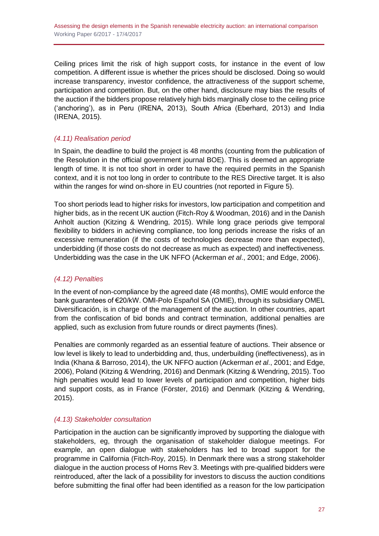Ceiling prices limit the risk of high support costs, for instance in the event of low competition. A different issue is whether the prices should be disclosed. Doing so would increase transparency, investor confidence, the attractiveness of the support scheme, participation and competition. But, on the other hand, disclosure may bias the results of the auction if the bidders propose relatively high bids marginally close to the ceiling price ('anchoring'), as in Peru (IRENA, 2013), South Africa (Eberhard, 2013) and India (IRENA, 2015).

## <span id="page-26-0"></span>*(4.11) Realisation period*

In Spain, the deadline to build the project is 48 months (counting from the publication of the Resolution in the official government journal BOE). This is deemed an appropriate length of time. It is not too short in order to have the required permits in the Spanish context, and it is not too long in order to contribute to the RES Directive target. It is also within the ranges for wind on-shore in EU countries (not reported in Figure 5).

Too short periods lead to higher risks for investors, low participation and competition and higher bids, as in the recent UK auction (Fitch-Roy & Woodman, 2016) and in the Danish Anholt auction (Kitzing & Wendring, 2015). While long grace periods give temporal flexibility to bidders in achieving compliance, too long periods increase the risks of an excessive remuneration (if the costs of technologies decrease more than expected), underbidding (if those costs do not decrease as much as expected) and ineffectiveness. Underbidding was the case in the UK NFFO (Ackerman *et al*., 2001; and Edge, 2006).

## <span id="page-26-1"></span>*(4.12) Penalties*

In the event of non-compliance by the agreed date (48 months), OMIE would enforce the bank guarantees of €20/kW. OMI-Polo Español SA (OMIE), through its subsidiary OMEL Diversificación, is in charge of the management of the auction. In other countries, apart from the confiscation of bid bonds and contract termination, additional penalties are applied, such as exclusion from future rounds or direct payments (fines).

Penalties are commonly regarded as an essential feature of auctions. Their absence or low level is likely to lead to underbidding and, thus, underbuilding (ineffectiveness), as in India (Khana & Barroso, 2014), the UK NFFO auction (Ackerman *et al*., 2001; and Edge, 2006), Poland (Kitzing & Wendring, 2016) and Denmark (Kitzing & Wendring, 2015). Too high penalties would lead to lower levels of participation and competition, higher bids and support costs, as in France (Förster, 2016) and Denmark (Kitzing & Wendring, 2015).

#### <span id="page-26-2"></span>*(4.13) Stakeholder consultation*

Participation in the auction can be significantly improved by supporting the dialogue with stakeholders, eg, through the organisation of stakeholder dialogue meetings. For example, an open dialogue with stakeholders has led to broad support for the programme in California (Fitch-Roy, 2015). In Denmark there was a strong stakeholder dialogue in the auction process of Horns Rev 3. Meetings with pre-qualified bidders were reintroduced, after the lack of a possibility for investors to discuss the auction conditions before submitting the final offer had been identified as a reason for the low participation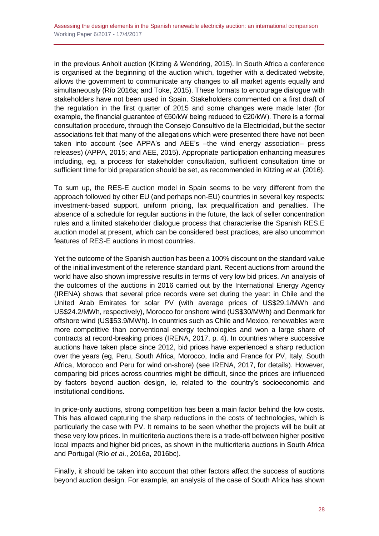in the previous Anholt auction (Kitzing & Wendring, 2015). In South Africa a conference is organised at the beginning of the auction which, together with a dedicated website, allows the government to communicate any changes to all market agents equally and simultaneously (Río 2016a; and Toke, 2015). These formats to encourage dialogue with stakeholders have not been used in Spain. Stakeholders commented on a first draft of the regulation in the first quarter of 2015 and some changes were made later (for example, the financial guarantee of  $\epsilon$ 50/kW being reduced to  $\epsilon$ 20/kW). There is a formal consultation procedure, through the Consejo Consultivo de la Electricidad, but the sector associations felt that many of the allegations which were presented there have not been taken into account (see APPA's and AEE's –the wind energy association– press releases) (APPA, 2015; and AEE, 2015). Appropriate participation enhancing measures including, eg, a process for stakeholder consultation, sufficient consultation time or sufficient time for bid preparation should be set, as recommended in Kitzing *et al*. (2016).

To sum up, the RES-E auction model in Spain seems to be very different from the approach followed by other EU (and perhaps non-EU) countries in several key respects: investment-based support, uniform pricing, lax prequalification and penalties. The absence of a schedule for regular auctions in the future, the lack of seller concentration rules and a limited stakeholder dialogue process that characterise the Spanish RES.E auction model at present, which can be considered best practices, are also uncommon features of RES-E auctions in most countries.

Yet the outcome of the Spanish auction has been a 100% discount on the standard value of the initial investment of the reference standard plant. Recent auctions from around the world have also shown impressive results in terms of very low bid prices. An analysis of the outcomes of the auctions in 2016 carried out by the International Energy Agency (IRENA) shows that several price records were set during the year: in Chile and the United Arab Emirates for solar PV (with average prices of US\$29.1/MWh and US\$24.2/MWh, respectively), Morocco for onshore wind (US\$30/MWh) and Denmark for offshore wind (US\$53.9/MWh). In countries such as Chile and Mexico, renewables were more competitive than conventional energy technologies and won a large share of contracts at record-breaking prices (IRENA, 2017, p. 4). In countries where successive auctions have taken place since 2012, bid prices have experienced a sharp reduction over the years (eg, Peru, South Africa, Morocco, India and France for PV, Italy, South Africa, Morocco and Peru for wind on-shore) (see IRENA, 2017, for details). However, comparing bid prices across countries might be difficult, since the prices are influenced by factors beyond auction design, ie, related to the country's socioeconomic and institutional conditions.

In price-only auctions, strong competition has been a main factor behind the low costs. This has allowed capturing the sharp reductions in the costs of technologies, which is particularly the case with PV. It remains to be seen whether the projects will be built at these very low prices. In multicriteria auctions there is a trade-off between higher positive local impacts and higher bid prices, as shown in the multicriteria auctions in South Africa and Portugal (Río *et al*., 2016a, 2016bc).

Finally, it should be taken into account that other factors affect the success of auctions beyond auction design. For example, an analysis of the case of South Africa has shown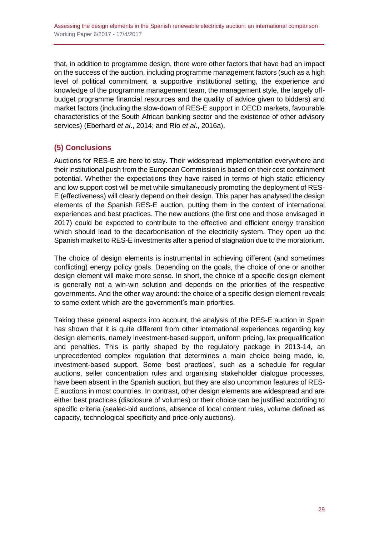that, in addition to programme design, there were other factors that have had an impact on the success of the auction, including programme management factors (such as a high level of political commitment, a supportive institutional setting, the experience and knowledge of the programme management team, the management style, the largely offbudget programme financial resources and the quality of advice given to bidders) and market factors (including the slow-down of RES-E support in OECD markets, favourable characteristics of the South African banking sector and the existence of other advisory services) (Eberhard *et al*., 2014; and Río *et al*., 2016a).

## <span id="page-28-0"></span>**(5) Conclusions**

Auctions for RES-E are here to stay. Their widespread implementation everywhere and their institutional push from the European Commission is based on their cost containment potential. Whether the expectations they have raised in terms of high static efficiency and low support cost will be met while simultaneously promoting the deployment of RES-E (effectiveness) will clearly depend on their design. This paper has analysed the design elements of the Spanish RES-E auction, putting them in the context of international experiences and best practices. The new auctions (the first one and those envisaged in 2017) could be expected to contribute to the effective and efficient energy transition which should lead to the decarbonisation of the electricity system. They open up the Spanish market to RES-E investments after a period of stagnation due to the moratorium.

The choice of design elements is instrumental in achieving different (and sometimes conflicting) energy policy goals. Depending on the goals, the choice of one or another design element will make more sense. In short, the choice of a specific design element is generally not a win-win solution and depends on the priorities of the respective governments. And the other way around: the choice of a specific design element reveals to some extent which are the government's main priorities.

Taking these general aspects into account, the analysis of the RES-E auction in Spain has shown that it is quite different from other international experiences regarding key design elements, namely investment-based support, uniform pricing, lax prequalification and penalties. This is partly shaped by the regulatory package in 2013-14, an unprecedented complex regulation that determines a main choice being made, ie, investment-based support. Some 'best practices', such as a schedule for regular auctions, seller concentration rules and organising stakeholder dialogue processes, have been absent in the Spanish auction, but they are also uncommon features of RES-E auctions in most countries. In contrast, other design elements are widespread and are either best practices (disclosure of volumes) or their choice can be justified according to specific criteria (sealed-bid auctions, absence of local content rules, volume defined as capacity, technological specificity and price-only auctions).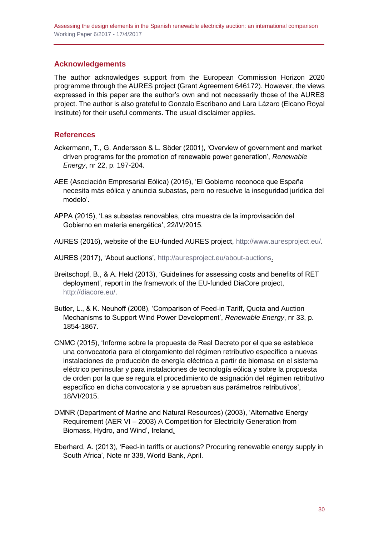## <span id="page-29-0"></span>**Acknowledgements**

The author acknowledges support from the European Commission Horizon 2020 programme through the AURES project (Grant Agreement 646172). However, the views expressed in this paper are the author's own and not necessarily those of the AURES project. The author is also grateful to Gonzalo Escribano and Lara Lázaro (Elcano Royal Institute) for their useful comments. The usual disclaimer applies.

## <span id="page-29-1"></span>**References**

- Ackermann, T., G. Andersson & L. Söder (2001), 'Overview of government and market driven programs for the promotion of renewable power generation', *Renewable Energy*, nr 22, p. 197-204.
- AEE (Asociación Empresarial Eólica) (2015), 'El Gobierno reconoce que España necesita más eólica y anuncia subastas, pero no resuelve la inseguridad jurídica del modelo'.
- APPA (2015), 'Las subastas renovables, otra muestra de la improvisación del Gobierno en materia energética', 22/IV/2015.
- AURES (2016), website of the EU-funded AURES project, [http://www.auresproject.eu/.](http://www.auresproject.eu/)
- AURES (2017), 'About auctions', [http://auresproject.eu/about-auctions.](http://auresproject.eu/about-auctions)
- Breitschopf, B., & A. Held (2013), 'Guidelines for assessing costs and benefits of RET deployment', report in the framework of the EU-funded DiaCore project, [http://diacore.eu/.](http://diacore.eu/)
- Butler, L., & K. Neuhoff (2008), 'Comparison of Feed-in Tariff, Quota and Auction Mechanisms to Support Wind Power Development', *Renewable Energy*, nr 33, p. 1854-1867.
- CNMC (2015), 'Informe sobre la propuesta de Real Decreto por el que se establece una convocatoria para el otorgamiento del régimen retributivo específico a nuevas instalaciones de producción de energía eléctrica a partir de biomasa en el sistema eléctrico peninsular y para instalaciones de tecnología eólica y sobre la propuesta de orden por la que se regula el procedimiento de asignación del régimen retributivo específico en dicha convocatoria y se aprueban sus parámetros retributivos', 18/VI/2015.
- DMNR (Department of Marine and Natural Resources) (2003), 'Alternative Energy Requirement (AER VI – 2003) A Competition for Electricity Generation from Biomass, Hydro, and Wind', Ireland.
- Eberhard, A. (2013), 'Feed-in tariffs or auctions? Procuring renewable energy supply in South Africa', Note nr 338, World Bank, April.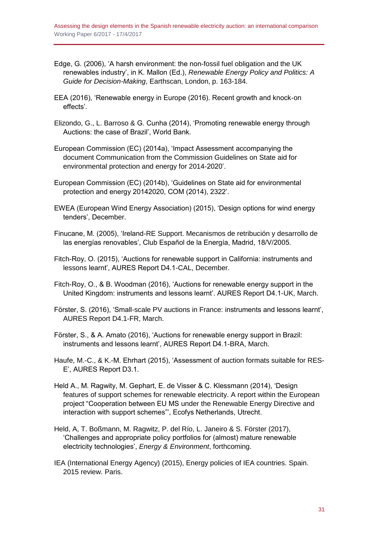- Edge, G. (2006), 'A harsh environment: the non-fossil fuel obligation and the UK renewables industry', in K. Mallon (Ed.), *Renewable Energy Policy and Politics: A Guide for Decision-Making*, Earthscan, London, p. 163-184.
- EEA (2016), 'Renewable energy in Europe (2016). Recent growth and knock-on effects'.
- Elizondo, G., L. Barroso & G. Cunha (2014), 'Promoting renewable energy through Auctions: the case of Brazil', World Bank.
- European Commission (EC) (2014a), 'Impact Assessment accompanying the document Communication from the Commission Guidelines on State aid for environmental protection and energy for 2014-2020'.
- European Commission (EC) (2014b), 'Guidelines on State aid for environmental protection and energy 20142020, COM (2014), 2322'.
- EWEA (European Wind Energy Association) (2015), 'Design options for wind energy tenders', December.
- Finucane, M. (2005), 'Ireland-RE Support. Mecanismos de retribución y desarrollo de las energías renovables', Club Español de la Energía, Madrid, 18/V/2005.
- Fitch-Roy, O. (2015), 'Auctions for renewable support in California: instruments and lessons learnt', AURES Report D4.1-CAL, December.
- Fitch-Roy, O., & B. Woodman (2016), 'Auctions for renewable energy support in the United Kingdom: instruments and lessons learnt'. AURES Report D4.1-UK, March.
- Förster, S. (2016), 'Small-scale PV auctions in France: instruments and lessons learnt', AURES Report D4.1-FR, March.
- Förster, S., & A. Amato (2016), 'Auctions for renewable energy support in Brazil: instruments and lessons learnt', AURES Report D4.1-BRA, March.
- Haufe, M.-C., & K.-M. Ehrhart (2015), 'Assessment of auction formats suitable for RES-E', AURES Report D3.1.
- Held A., M. Ragwity, M. Gephart, E. de Visser & C. Klessmann (2014), 'Design features of support schemes for renewable electricity. A report within the European project "Cooperation between EU MS under the Renewable Energy Directive and interaction with support schemes"', Ecofys Netherlands, Utrecht.
- Held, A, T. Boßmann, M. Ragwitz, P. del Río, L. Janeiro & S. Förster (2017), 'Challenges and appropriate policy portfolios for (almost) mature renewable electricity technologies', *Energy & Environment*, forthcoming.
- IEA (International Energy Agency) (2015), Energy policies of IEA countries. Spain. 2015 review. Paris.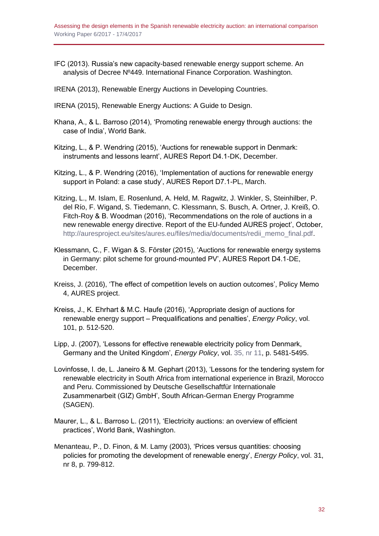IFC (2013). Russia's new capacity-based renewable energy support scheme. An analysis of Decree Nº449. International Finance Corporation. Washington.

IRENA (2013), Renewable Energy Auctions in Developing Countries.

- IRENA (2015), Renewable Energy Auctions: A Guide to Design.
- Khana, A., & L. Barroso (2014), 'Promoting renewable energy through auctions: the case of India', World Bank.
- Kitzing, L., & P. Wendring (2015), 'Auctions for renewable support in Denmark: instruments and lessons learnt', AURES Report D4.1-DK, December.
- Kitzing, L., & P. Wendring (2016), 'Implementation of auctions for renewable energy support in Poland: a case study', AURES Report D7.1-PL, March.
- Kitzing, L., M. Islam, E. Rosenlund, A. Held, M. Ragwitz, J. Winkler, S, Steinhilber, P. del Río, F. Wigand, S. Tiedemann, C. Klessmann, S. Busch, A. Ortner, J. Kreiß, O. Fitch-Roy & B. Woodman (2016), 'Recommendations on the role of auctions in a new renewable energy directive. Report of the EU-funded AURES project', October, [http://auresproject.eu/sites/aures.eu/files/media/documents/redii\\_memo\\_final.pdf.](http://auresproject.eu/sites/aures.eu/files/media/documents/redii_memo_final.pdf)
- Klessmann, C., F. Wigan & S. Förster (2015), 'Auctions for renewable energy systems in Germany: pilot scheme for ground-mounted PV', AURES Report D4.1-DE, December.
- Kreiss, J. (2016), 'The effect of competition levels on auction outcomes', Policy Memo 4, AURES project.
- Kreiss, J., K. Ehrhart & M.C. Haufe (2016), 'Appropriate design of auctions for renewable energy support – Prequalifications and penalties', *Energy Policy*, vol. 101, p. 512-520.
- Lipp, J. (2007), 'Lessons for effective renewable electricity policy from Denmark, Germany and the United Kingdom', *Energy Policy*, vol. [35, nr 11,](http://www.sciencedirect.com/science/journal/03014215/35/11) p. 5481-5495.
- Lovinfosse, I. de, L. Janeiro & M. Gephart (2013), 'Lessons for the tendering system for renewable electricity in South Africa from international experience in Brazil, Morocco and Peru. Commissioned by Deutsche Gesellschaftfür Internationale Zusammenarbeit (GIZ) GmbH', South African-German Energy Programme (SAGEN).
- Maurer, L., & L. Barroso L. (2011), 'Electricity auctions: an overview of efficient practices', World Bank, Washington.
- Menanteau, P., D. Finon, & M. Lamy (2003), 'Prices versus quantities: choosing policies for promoting the development of renewable energy', *Energy Policy*, vol. 31, nr 8, p. 799-812.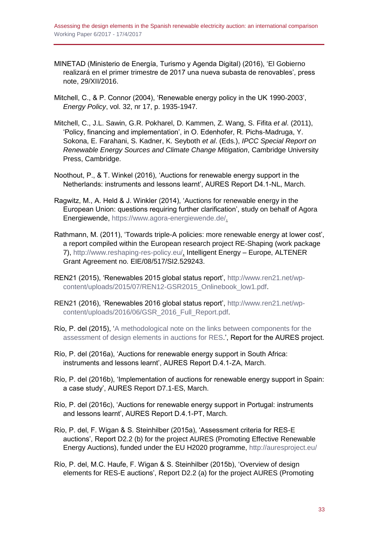- MINETAD (Ministerio de Energía, Turismo y Agenda Digital) (2016), 'El Gobierno realizará en el primer trimestre de 2017 una nueva subasta de renovables', press note, 29/XII/2016.
- Mitchell, C., & P. Connor (2004), 'Renewable energy policy in the UK 1990-2003', *Energy Policy*, vol. 32, nr 17, p. 1935-1947.
- Mitchell, C., J.L. Sawin, G.R. Pokharel, D. Kammen, Z. Wang, S. Fifita *et al*. (2011), 'Policy, financing and implementation', in O. Edenhofer, R. Pichs-Madruga, Y. Sokona, E. Farahani, S. Kadner, K. Seyboth *et al*. (Eds.), *IPCC Special Report on Renewable Energy Sources and Climate Change Mitigation*, Cambridge University Press, Cambridge.
- Noothout, P., & T. Winkel (2016), 'Auctions for renewable energy support in the Netherlands: instruments and lessons learnt', AURES Report D4.1-NL, March.
- Ragwitz, M., A. Held & J. Winkler (2014), 'Auctions for renewable energy in the European Union: questions requiring further clarification', study on behalf of Agora Energiewende, [https://www.agora-energiewende.de/.](https://www.agora-energiewende.de/)
- Rathmann, M. (2011), 'Towards triple-A policies: more renewable energy at lower cost', a report compiled within the European research project RE-Shaping (work package 7), [http://www.reshaping-res-policy.eu/,](http://www.reshaping-res-policy.eu/) Intelligent Energy – Europe, ALTENER Grant Agreement no. EIE/08/517/SI2.529243.
- REN21 (2015), 'Renewables 2015 global status report', [http://www.ren21.net/wp](http://www.ren21.net/wp-content/uploads/2015/07/REN12-GSR2015_Onlinebook_low1.pdf)[content/uploads/2015/07/REN12-GSR2015\\_Onlinebook\\_low1.pdf.](http://www.ren21.net/wp-content/uploads/2015/07/REN12-GSR2015_Onlinebook_low1.pdf)
- REN21 (2016), 'Renewables 2016 global status report', [http://www.ren21.net/wp](http://www.ren21.net/wp-content/uploads/2016/06/GSR_2016_Full_Report.pdf)[content/uploads/2016/06/GSR\\_2016\\_Full\\_Report.pdf.](http://www.ren21.net/wp-content/uploads/2016/06/GSR_2016_Full_Report.pdf)
- Río, P. del (2015), ['A methodological note on the links between components for the](http://auresproject.eu/publications/a-methodological-note-on-the-links-between-components-the-assessment-of-design-elements)  [assessment of design elements in auctions for RES.](http://auresproject.eu/publications/a-methodological-note-on-the-links-between-components-the-assessment-of-design-elements)', Report for the AURES project.
- Río, P. del (2016a), 'Auctions for renewable energy support in South Africa: instruments and lessons learnt', AURES Report D.4.1-ZA, March.
- Río, P. del (2016b), 'Implementation of auctions for renewable energy support in Spain: a case study', AURES Report D7.1-ES, March.
- Río, P. del (2016c), 'Auctions for renewable energy support in Portugal: instruments and lessons learnt', AURES Report D.4.1-PT, March.
- Río, P. del, F. Wigan & S. Steinhilber (2015a), 'Assessment criteria for RES-E auctions', Report D2.2 (b) for the project AURES (Promoting Effective Renewable Energy Auctions), funded under the EU H2020 programme,<http://auresproject.eu/>
- Río, P. del, M.C. Haufe, F. Wigan & S. Steinhilber (2015b), 'Overview of design elements for RES-E auctions', Report D2.2 (a) for the project AURES (Promoting